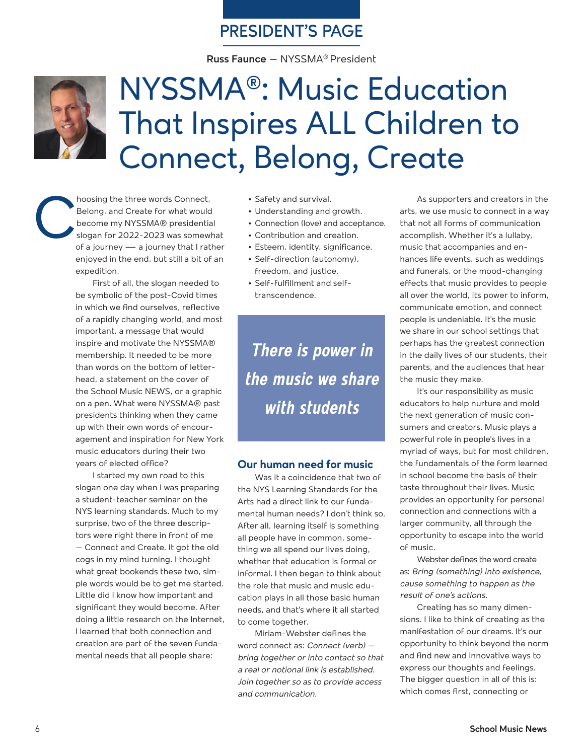## **PRESIDENT'S PAGE**

**Russ Faunce** – NYSSMA® President



# NYSSMA®: Music Education That Inspires ALL Children to Connect, Belong, Create

hoosing the three words Connect,<br>Belong, and Create for what would<br>become my NYSSMA® presidentia<br>slogan for 2022-2023 was somew<br>of a journey — a journey that I rati Belong, and Create for what would become my NYSSMA® presidential slogan for 2022-2023 was somewhat of a journey — a journey that I rather enjoyed in the end, but still a bit of an expedition.

> First of all, the slogan needed to be symbolic of the post-Covid times in which we find ourselves, reflective of a rapidly changing world, and most important, a message that would inspire and motivate the NYSSMA® membership. It needed to be more than words on the bottom of letterhead, a statement on the cover of the School Music NEWS, or a graphic on a pen. What were NYSSMA® past presidents thinking when they came up with their own words of encouragement and inspiration for New York music educators during their two years of elected office?

> I started my own road to this slogan one day when I was preparing a student-teacher seminar on the NYS learning standards. Much to my surprise, two of the three descriptors were right there in front of me – Connect and Create. It got the old cogs in my mind turning. I thought what great bookends these two, simple words would be to get me started. Little did I know how important and significant they would become. After doing a little research on the Internet, I learned that both connection and creation are part of the seven fundamental needs that all people share:

- **•** Safety and survival.
- **•** Understanding and growth.
- **•** Connection (love) and acceptance.
- **•** Contribution and creation.
- **•** Esteem, identity, significance.
- **•** Self-direction (autonomy), freedom, and justice.
- **•** Self-fulfillment and selftranscendence.

There is power in the music we share with students

#### **Our human need for music**

Was it a coincidence that two of the NYS Learning Standards for the Arts had a direct link to our fundamental human needs? I don't think so. After all, learning itself is something all people have in common, something we all spend our lives doing, whether that education is formal or informal. I then began to think about the role that music and music education plays in all those basic human needs, and that's where it all started to come together.

Miriam-Webster defines the word connect as: *Connect (verb) – bring together or into contact so that a real or notional link is established. Join together so as to provide access and communication.*

As supporters and creators in the arts, we use music to connect in a way that not all forms of communication accomplish. Whether it's a lullaby, music that accompanies and enhances life events, such as weddings and funerals, or the mood-changing effects that music provides to people all over the world, its power to inform, communicate emotion, and connect people is undeniable. It's the music we share in our school settings that perhaps has the greatest connection in the daily lives of our students, their parents, and the audiences that hear the music they make.

It's our responsibility as music educators to help nurture and mold the next generation of music consumers and creators. Music plays a powerful role in people's lives in a myriad of ways, but for most children, the fundamentals of the form learned in school become the basis of their taste throughout their lives. Music provides an opportunity for personal connection and connections with a larger community, all through the opportunity to escape into the world of music.

Webster defines the word create as: *Bring (something) into existence, cause something to happen as the result of one's actions.*

Creating has so many dimensions. I like to think of creating as the manifestation of our dreams. It's our opportunity to think beyond the norm and find new and innovative ways to express our thoughts and feelings. The bigger question in all of this is: which comes first, connecting or